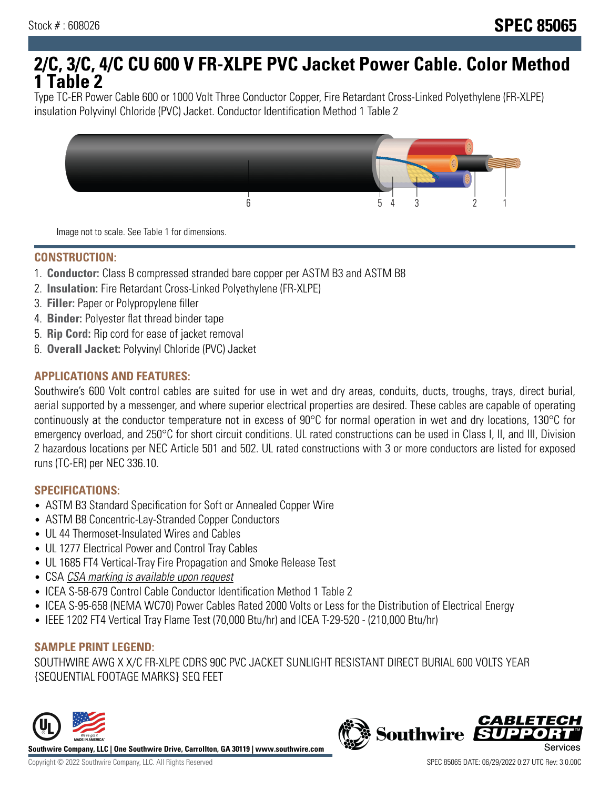# **2/C, 3/C, 4/C CU 600 V FR-XLPE PVC Jacket Power Cable. Color Method 1 Table 2**

Type TC-ER Power Cable 600 or 1000 Volt Three Conductor Copper, Fire Retardant Cross-Linked Polyethylene (FR-XLPE) insulation Polyvinyl Chloride (PVC) Jacket. Conductor Identification Method 1 Table 2



Image not to scale. See Table 1 for dimensions.

#### **CONSTRUCTION:**

- 1. **Conductor:** Class B compressed stranded bare copper per ASTM B3 and ASTM B8
- 2. **Insulation:** Fire Retardant Cross-Linked Polyethylene (FR-XLPE)
- 3. **Filler:** Paper or Polypropylene filler
- 4. **Binder:** Polyester flat thread binder tape
- 5. **Rip Cord:** Rip cord for ease of jacket removal
- 6. **Overall Jacket:** Polyvinyl Chloride (PVC) Jacket

## **APPLICATIONS AND FEATURES:**

Southwire's 600 Volt control cables are suited for use in wet and dry areas, conduits, ducts, troughs, trays, direct burial, aerial supported by a messenger, and where superior electrical properties are desired. These cables are capable of operating continuously at the conductor temperature not in excess of 90°C for normal operation in wet and dry locations, 130°C for emergency overload, and 250°C for short circuit conditions. UL rated constructions can be used in Class I, II, and III, Division 2 hazardous locations per NEC Article 501 and 502. UL rated constructions with 3 or more conductors are listed for exposed runs (TC-ER) per NEC 336.10.

#### **SPECIFICATIONS:**

- ASTM B3 Standard Specification for Soft or Annealed Copper Wire
- ASTM B8 Concentric-Lay-Stranded Copper Conductors
- UL 44 Thermoset-Insulated Wires and Cables
- UL 1277 Electrical Power and Control Tray Cables
- UL 1685 FT4 Vertical-Tray Fire Propagation and Smoke Release Test
- CSA CSA marking is available upon request
- ICEA S-58-679 Control Cable Conductor Identification Method 1 Table 2
- ICEA S-95-658 (NEMA WC70) Power Cables Rated 2000 Volts or Less for the Distribution of Electrical Energy
- IEEE 1202 FT4 Vertical Tray Flame Test (70,000 Btu/hr) and ICEA T-29-520 (210,000 Btu/hr)

#### **SAMPLE PRINT LEGEND:**

SOUTHWIRE AWG X X/C FR-XLPE CDRS 90C PVC JACKET SUNLIGHT RESISTANT DIRECT BURIAL 600 VOLTS YEAR {SEQUENTIAL FOOTAGE MARKS} SEQ FEET